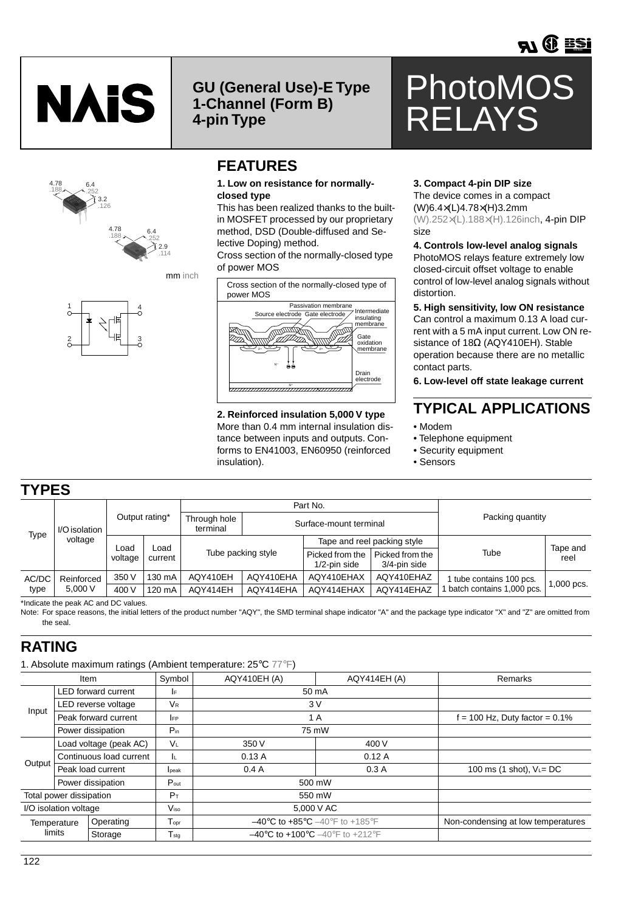



3.2 .126

> 4.78 .188

6.4 .252

4.78 .188 **GU (General Use)-E Type 1-Channel (Form B) 4-pin Type**



### **1. Low on resistance for normallyclosed type**

This has been realized thanks to the builtin MOSFET processed by our proprietary method, DSD (Double-diffused and Selective Doping) method.

Cross section of the normally-closed type of power MOS



More than 0.4 mm internal insulation distance between inputs and outputs. Conforms to EN41003, EN60950 (reinforced insulation).

### **3. Compact 4-pin DIP size**

RELAYS

The device comes in a compact (W)6.4×(L)4.78×(H)3.2mm (W).252×(L).188×(H).126inch, 4-pin DIP size

PhotoMOS

#### **4. Controls low-level analog signals** PhotoMOS relays feature extremely low

closed-circuit offset voltage to enable control of low-level analog signals without distortion.

### **5. High sensitivity, low ON resistance**

Can control a maximum 0.13 A load current with a 5 mA input current. Low ON resistance of 18Ω (AQY410EH). Stable operation because there are no metallic contact parts.

**6. Low-level off state leakage current**

## **TYPICAL APPLICATIONS**

- Modem
- Telephone equipment
- Security equipment
- Sensors

# **TYPES**

| Type          | I/O isolation<br>voltage | Output rating*          |         | Part No.                 |                        |                                    |                                 |                           |              |
|---------------|--------------------------|-------------------------|---------|--------------------------|------------------------|------------------------------------|---------------------------------|---------------------------|--------------|
|               |                          |                         |         | Through hole<br>terminal | Surface-mount terminal |                                    |                                 | Packing quantity          |              |
|               |                          | Load<br>∟oad<br>voltage |         | Tube packing style       |                        | Tape and reel packing style        |                                 |                           | Tape and     |
|               |                          |                         | current |                          |                        | Picked from the<br>$1/2$ -pin side | Picked from the<br>3/4-pin side | Tube                      | reel         |
| AC/DC<br>type | Reinforced<br>5,000V     | 350 V                   | 130 mA  | AQY410EH                 | AQY410EHA              | AQY410EHAX                         | AQY410EHAZ                      | tube contains 100 pcs.    | $1,000$ pcs. |
|               |                          | 400 V                   | 120 mA  | AQY414EH                 | AQY414EHA              | AQY414EHAX                         | AQY414EHAZ                      | batch contains 1,000 pcs. |              |

\*Indicate the peak AC and DC values.

Note: For space reasons, the initial letters of the product number "AQY", the SMD terminal shape indicator "A" and the package type indicator "X" and "Z" are omitted from the seal.

## **RATING**

1. Absolute maximum ratings (Ambient temperature: 25°C 77°F)

|                         | Item                     | Symbol             | AQY410EH (A)                                                            | AQY414EH (A)                       | Remarks                     |
|-------------------------|--------------------------|--------------------|-------------------------------------------------------------------------|------------------------------------|-----------------------------|
| Input                   | LED forward current      | IF.                | 50 mA                                                                   |                                    |                             |
|                         | LED reverse voltage      | V <sub>R</sub>     | 3V                                                                      |                                    |                             |
|                         | Peak forward current     | <b>IFP</b>         | 1 A                                                                     | $f = 100$ Hz, Duty factor = 0.1%   |                             |
|                         | Power dissipation        | $P_{in}$           | 75 mW                                                                   |                                    |                             |
| Output                  | Load voltage (peak AC)   | VL                 | 350 V                                                                   | 400 V                              |                             |
|                         | Continuous load current  | IL.                | 0.13A                                                                   | 0.12A                              |                             |
|                         | Peak load current        | lpeak              | 0.4A                                                                    | 0.3A                               | 100 ms (1 shot), $V_L = DC$ |
|                         | Power dissipation        | $P_{\text{out}}$   | 500 mW                                                                  |                                    |                             |
| Total power dissipation |                          | $P_T$              | 550 mW                                                                  |                                    |                             |
| I/O isolation voltage   |                          | $V_{\rm iso}$      | 5,000 V AC                                                              |                                    |                             |
|                         | Operating<br>Temperature | $T_{\mathsf{opt}}$ | $-40^{\circ}$ C to $+85^{\circ}$ C $-40^{\circ}$ F to $+185^{\circ}$ F  | Non-condensing at low temperatures |                             |
|                         | limits<br>Storage        | $T_{sta}$          | $-40^{\circ}$ C to $+100^{\circ}$ C $-40^{\circ}$ F to $+212^{\circ}$ F |                                    |                             |

1

4

mm inch

2.9 .114

6.4 .252

3

2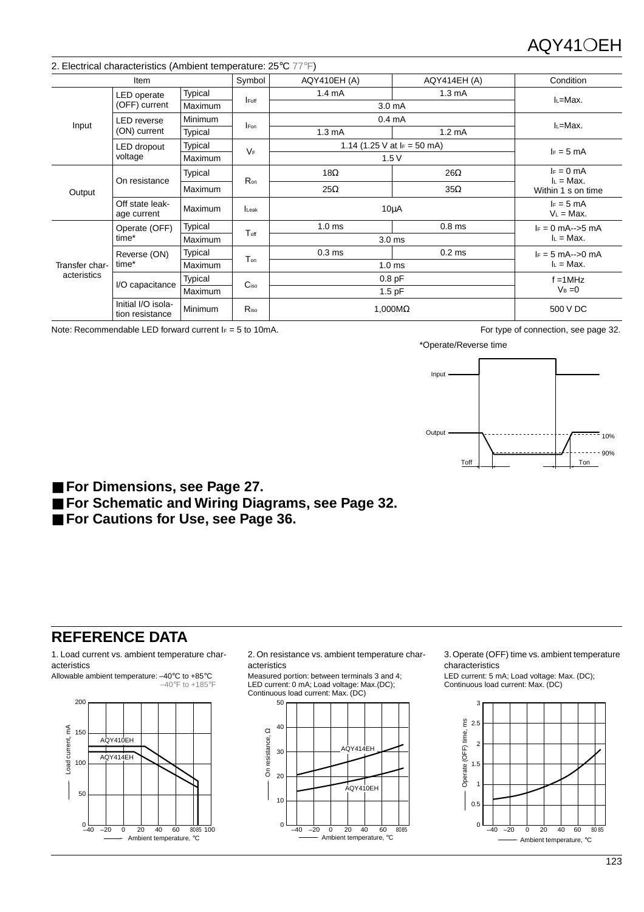|                | 2. Electrical characteristics (Ambient temperature: 25°C 77°F) |                |                  |                              |                   |                               |  |
|----------------|----------------------------------------------------------------|----------------|------------------|------------------------------|-------------------|-------------------------------|--|
|                | Item                                                           |                | Symbol           | AQY410EH (A)                 | AQY414EH (A)      | Condition                     |  |
|                | LED operate                                                    | Typical        | <b>I</b> Foff    | 1.4 <sub>m</sub> A           | $1.3 \text{ mA}$  | I∟=Max.                       |  |
|                | (OFF) current                                                  | Maximum        |                  | 3.0 mA                       |                   |                               |  |
| Input          | <b>LED</b> reverse<br>(ON) current                             | <b>Minimum</b> |                  | 0.4 <sub>mA</sub>            | IL=Max.           |                               |  |
|                |                                                                | Typical        | <b>IFon</b>      | $1.3 \text{ mA}$             | $1.2 \text{ mA}$  |                               |  |
|                | LED dropout<br>voltage                                         | Typical        | $V_F$            | 1.14 (1.25 V at $F = 50$ mA) | $I_F = 5$ mA      |                               |  |
|                |                                                                | <b>Maximum</b> |                  | 1.5V                         |                   |                               |  |
|                | On resistance                                                  | Typical        | Ron              | $18\Omega$                   | $26\Omega$        | $I_F = 0$ mA<br>$I_L = Max$ . |  |
| Output         |                                                                | <b>Maximum</b> |                  | $25\Omega$                   | $35\Omega$        | Within 1 s on time            |  |
|                | Off state leak-<br>age current                                 | Maximum        | Leak             | $10\mu A$                    |                   | $I_F = 5$ mA<br>$V_L$ = Max.  |  |
|                | Operate (OFF)<br>time*                                         | Typical        |                  | 1.0 <sub>ms</sub>            | 0.8 <sub>ms</sub> | $I_F = 0$ mA-->5 mA           |  |
|                |                                                                | Maximum        | $T_{\text{off}}$ | 3.0 <sub>ms</sub>            |                   | $I_L = Max$ .                 |  |
|                | Reverse (ON)<br>time*                                          | Typical        | Ton              | 0.3 <sub>ms</sub>            | $0.2$ ms          | $I_F = 5$ mA-->0 mA           |  |
| Transfer char- |                                                                | Maximum        |                  | 1.0 <sub>ms</sub>            |                   | $I_L = Max$ .                 |  |
| acteristics    |                                                                | Typical        | C <sub>iso</sub> | $0.8$ pF                     |                   | $f = 1MHz$                    |  |
|                | I/O capacitance                                                | Maximum        |                  | $1.5$ pF                     |                   | $V_B = 0$                     |  |
|                | Initial I/O isola-<br>tion resistance                          | <b>Minimum</b> | Riso             | 1,000 $M\Omega$              |                   | 500 V DC                      |  |

Note: Recommendable LED forward current IF = 5 to 10mA. For type of connection, see page 32.

\*Operate/Reverse time



■ For Dimensions, see Page 27.

■ [For Schematic and Wiring Diagrams, see Page 32.](http://ctlgserv.mew.co.jp/acg/cgi/semi_eng/semi_eng_pdflink.cgi?l=pmosdim)

■ [For Cautions for Use, see Page 36.](http://ctlgserv.mew.co.jp/acg/cgi/semi_eng/semi_eng_pdflink.cgi?l=pmoscau)

# **REFERENCE DATA**

1. Load current vs. ambient temperature characteristics

Allowable ambient temperature: –40°C to +85°C –40°F to +185°F



2. On resistance vs. ambient temperature characteristics

Measured portion: between terminals 3 and 4; LED current: 0 mA; Load voltage: Max.(DC); Continuous load current: Max. (DC)



3. Operate (OFF) time vs. ambient temperature characteristics

LED current: 5 mA; Load voltage: Max. (DC); Continuous load current: Max. (DC)